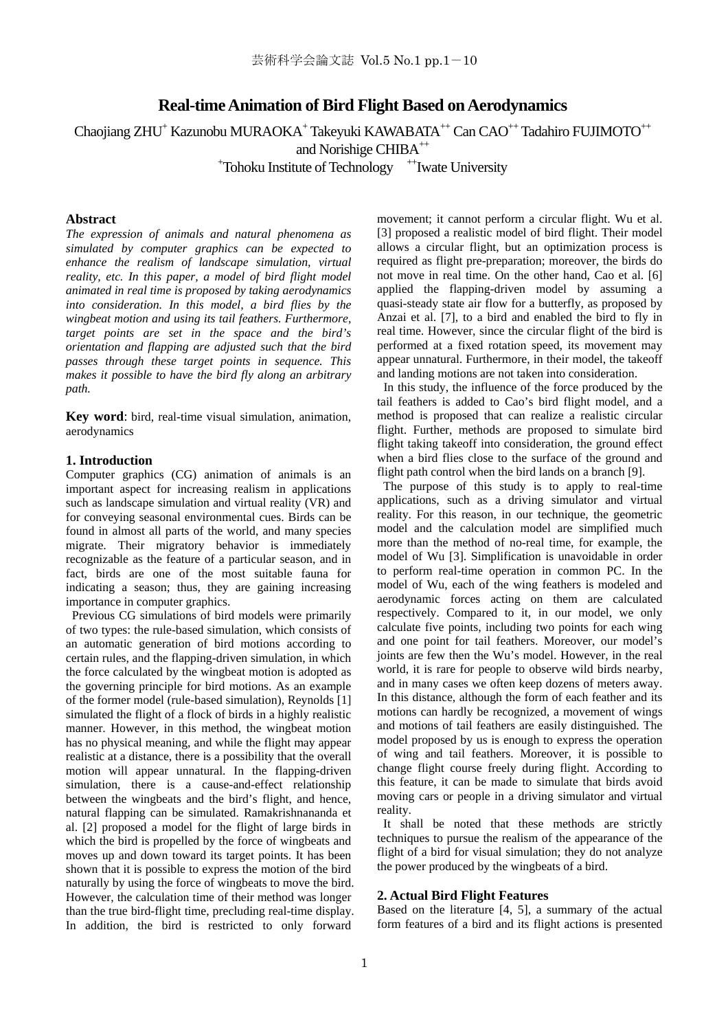# **Real-time Animation of Bird Flight Based on Aerodynamics**

Chaojiang ZHU<sup>+</sup> Kazunobu MURAOKA<sup>+</sup> Takeyuki KAWABATA<sup>++</sup> Can CAO<sup>++</sup> Tadahiro FUJIMOTO<sup>++</sup>

and Norishige CHIBA<sup>++</sup>

<sup>+</sup>Tohoku Institute of Technology <sup>++</sup>Iwate University

# **Abstract**

*The expression of animals and natural phenomena as simulated by computer graphics can be expected to enhance the realism of landscape simulation, virtual reality, etc. In this paper, a model of bird flight model animated in real time is proposed by taking aerodynamics into consideration. In this model, a bird flies by the wingbeat motion and using its tail feathers. Furthermore, target points are set in the space and the bird's orientation and flapping are adjusted such that the bird passes through these target points in sequence. This makes it possible to have the bird fly along an arbitrary path.* 

**Key word**: bird, real-time visual simulation, animation, aerodynamics

# **1. Introduction**

Computer graphics (CG) animation of animals is an important aspect for increasing realism in applications such as landscape simulation and virtual reality (VR) and for conveying seasonal environmental cues. Birds can be found in almost all parts of the world, and many species migrate. Their migratory behavior is immediately recognizable as the feature of a particular season, and in fact, birds are one of the most suitable fauna for indicating a season; thus, they are gaining increasing importance in computer graphics.

 Previous CG simulations of bird models were primarily of two types: the rule-based simulation, which consists of an automatic generation of bird motions according to certain rules, and the flapping-driven simulation, in which the force calculated by the wingbeat motion is adopted as the governing principle for bird motions. As an example of the former model (rule-based simulation), Reynolds [1] simulated the flight of a flock of birds in a highly realistic manner. However, in this method, the wingbeat motion has no physical meaning, and while the flight may appear realistic at a distance, there is a possibility that the overall motion will appear unnatural. In the flapping-driven simulation, there is a cause-and-effect relationship between the wingbeats and the bird's flight, and hence, natural flapping can be simulated. Ramakrishnananda et al. [2] proposed a model for the flight of large birds in which the bird is propelled by the force of wingbeats and moves up and down toward its target points. It has been shown that it is possible to express the motion of the bird naturally by using the force of wingbeats to move the bird. However, the calculation time of their method was longer than the true bird-flight time, precluding real-time display. In addition, the bird is restricted to only forward

movement; it cannot perform a circular flight. Wu et al. [3] proposed a realistic model of bird flight. Their model allows a circular flight, but an optimization process is required as flight pre-preparation; moreover, the birds do not move in real time. On the other hand, Cao et al. [6] applied the flapping-driven model by assuming a quasi-steady state air flow for a butterfly, as proposed by Anzai et al. [7], to a bird and enabled the bird to fly in real time. However, since the circular flight of the bird is performed at a fixed rotation speed, its movement may appear unnatural. Furthermore, in their model, the takeoff and landing motions are not taken into consideration.

In this study, the influence of the force produced by the tail feathers is added to Cao's bird flight model, and a method is proposed that can realize a realistic circular flight. Further, methods are proposed to simulate bird flight taking takeoff into consideration, the ground effect when a bird flies close to the surface of the ground and flight path control when the bird lands on a branch [9].

 The purpose of this study is to apply to real-time applications, such as a driving simulator and virtual reality. For this reason, in our technique, the geometric model and the calculation model are simplified much more than the method of no-real time, for example, the model of Wu [3]. Simplification is unavoidable in order to perform real-time operation in common PC. In the model of Wu, each of the wing feathers is modeled and aerodynamic forces acting on them are calculated respectively. Compared to it, in our model, we only calculate five points, including two points for each wing and one point for tail feathers. Moreover, our model's joints are few then the Wu's model. However, in the real world, it is rare for people to observe wild birds nearby, and in many cases we often keep dozens of meters away. In this distance, although the form of each feather and its motions can hardly be recognized, a movement of wings and motions of tail feathers are easily distinguished. The model proposed by us is enough to express the operation of wing and tail feathers. Moreover, it is possible to change flight course freely during flight. According to this feature, it can be made to simulate that birds avoid moving cars or people in a driving simulator and virtual reality.

 It shall be noted that these methods are strictly techniques to pursue the realism of the appearance of the flight of a bird for visual simulation; they do not analyze the power produced by the wingbeats of a bird.

## **2. Actual Bird Flight Features**

Based on the literature [4, 5], a summary of the actual form features of a bird and its flight actions is presented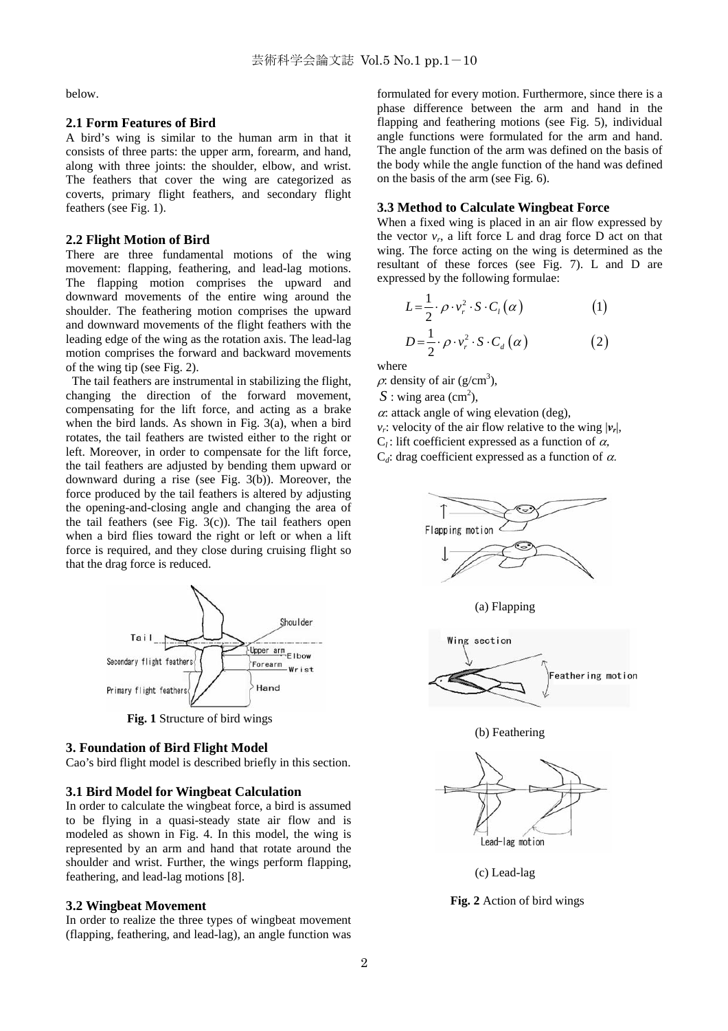below.

#### **2.1 Form Features of Bird**

A bird's wing is similar to the human arm in that it consists of three parts: the upper arm, forearm, and hand, along with three joints: the shoulder, elbow, and wrist. The feathers that cover the wing are categorized as coverts, primary flight feathers, and secondary flight feathers (see Fig. 1).

## **2.2 Flight Motion of Bird**

There are three fundamental motions of the wing movement: flapping, feathering, and lead-lag motions. The flapping motion comprises the upward and downward movements of the entire wing around the shoulder. The feathering motion comprises the upward and downward movements of the flight feathers with the leading edge of the wing as the rotation axis. The lead-lag motion comprises the forward and backward movements of the wing tip (see Fig. 2).

 The tail feathers are instrumental in stabilizing the flight, changing the direction of the forward movement, compensating for the lift force, and acting as a brake when the bird lands. As shown in Fig. 3(a), when a bird rotates, the tail feathers are twisted either to the right or left. Moreover, in order to compensate for the lift force, the tail feathers are adjusted by bending them upward or downward during a rise (see Fig. 3(b)). Moreover, the force produced by the tail feathers is altered by adjusting the opening-and-closing angle and changing the area of the tail feathers (see Fig.  $3(c)$ ). The tail feathers open when a bird flies toward the right or left or when a lift force is required, and they close during cruising flight so that the drag force is reduced.



**Fig. 1** Structure of bird wings

### **3. Foundation of Bird Flight Model**

Cao's bird flight model is described briefly in this section.

## **3.1 Bird Model for Wingbeat Calculation**

In order to calculate the wingbeat force, a bird is assumed to be flying in a quasi-steady state air flow and is modeled as shown in Fig. 4. In this model, the wing is represented by an arm and hand that rotate around the shoulder and wrist. Further, the wings perform flapping, feathering, and lead-lag motions [8].

# **3.2 Wingbeat Movement**

In order to realize the three types of wingbeat movement (flapping, feathering, and lead-lag), an angle function was

formulated for every motion. Furthermore, since there is a phase difference between the arm and hand in the flapping and feathering motions (see Fig. 5), individual angle functions were formulated for the arm and hand. The angle function of the arm was defined on the basis of the body while the angle function of the hand was defined on the basis of the arm (see Fig. 6).

# **3.3 Method to Calculate Wingbeat Force**

When a fixed wing is placed in an air flow expressed by the vector  $v_r$ , a lift force L and drag force D act on that wing. The force acting on the wing is determined as the resultant of these forces (see Fig. 7). L and D are expressed by the following formulae:

$$
L = \frac{1}{2} \cdot \rho \cdot v_r^2 \cdot S \cdot C_l(\alpha) \tag{1}
$$

 $\frac{1}{2} \cdot \rho \cdot v_r^2 \cdot S \cdot C_d(\alpha)$  (2)  $D = \frac{1}{2} \cdot \rho \cdot v_r^2 \cdot S \cdot C_d \left( \alpha \right)$ 

where

 $\rho$ : density of air (g/cm<sup>3</sup>),

 $S:$  wing area (cm<sup>2</sup>),

 $\alpha$ : attack angle of wing elevation (deg),

*v<sub>r</sub>*: velocity of the air flow relative to the wing  $|\nu_r|$ ,

- $C_l$ : lift coefficient expressed as a function of  $\alpha$ ,
- $C_d$ : drag coefficient expressed as a function of  $\alpha$ .







(b) Feathering



(c) Lead-lag

**Fig. 2** Action of bird wings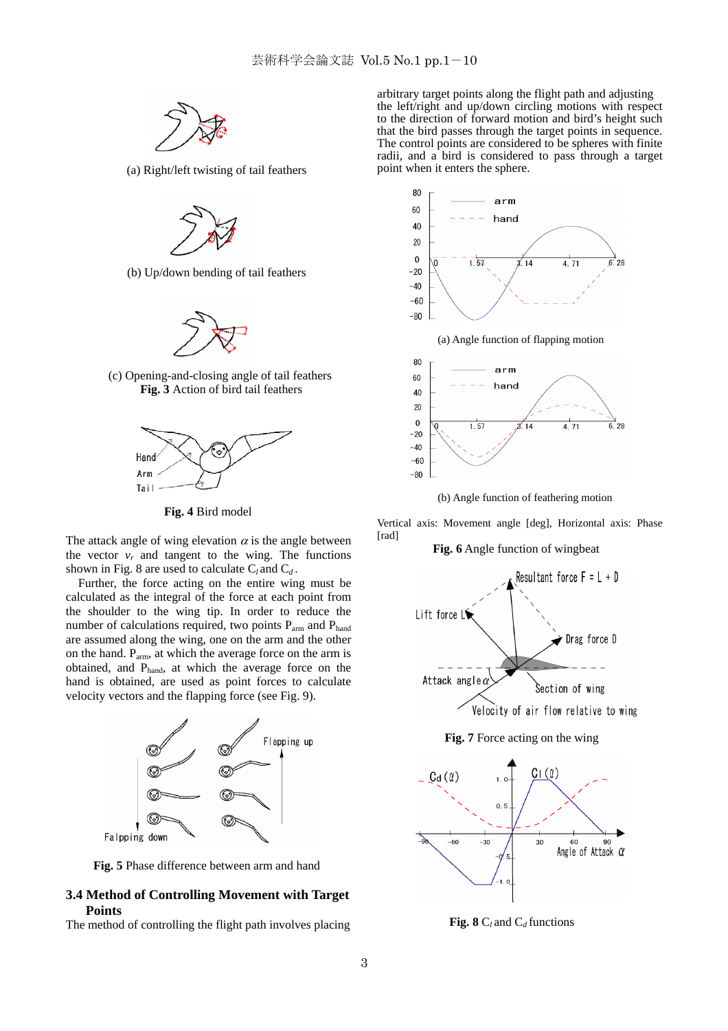

(a) Right/left twisting of tail feathers



(b) Up/down bending of tail feathers



(c) Opening-and-closing angle of tail feathers **Fig. 3** Action of bird tail feathers



**Fig. 4** Bird model

The attack angle of wing elevation  $\alpha$  is the angle between the vector  $v_r$  and tangent to the wing. The functions shown in Fig. 8 are used to calculate  $C_l$  and  $C_d$ .

Further, the force acting on the entire wing must be calculated as the integral of the force at each point from the shoulder to the wing tip. In order to reduce the number of calculations required, two points P<sub>arm</sub> and P<sub>hand</sub> are assumed along the wing, one on the arm and the other on the hand. Parm, at which the average force on the arm is obtained, and Phand, at which the average force on the hand is obtained, are used as point forces to calculate velocity vectors and the flapping force (see Fig. 9).



**Fig. 5** Phase difference between arm and hand

# **3.4 Method of Controlling Movement with Target Points**

The method of controlling the flight path involves placing

arbitrary target points along the flight path and adjusting the left/right and up/down circling motions with respect to the direction of forward motion and bird's height such that the bird passes through the target points in sequence. The control points are considered to be spheres with finite radii, and a bird is considered to pass through a target point when it enters the sphere.



(a) Angle function of flapping motion



(b) Angle function of feathering motion

Vertical axis: Movement angle [deg], Horizontal axis: Phase [rad]

# **Fig. 6** Angle function of wingbeat



**Fig. 7** Force acting on the wing



 **Fig. 8** C*<sup>l</sup>* and C*d* functions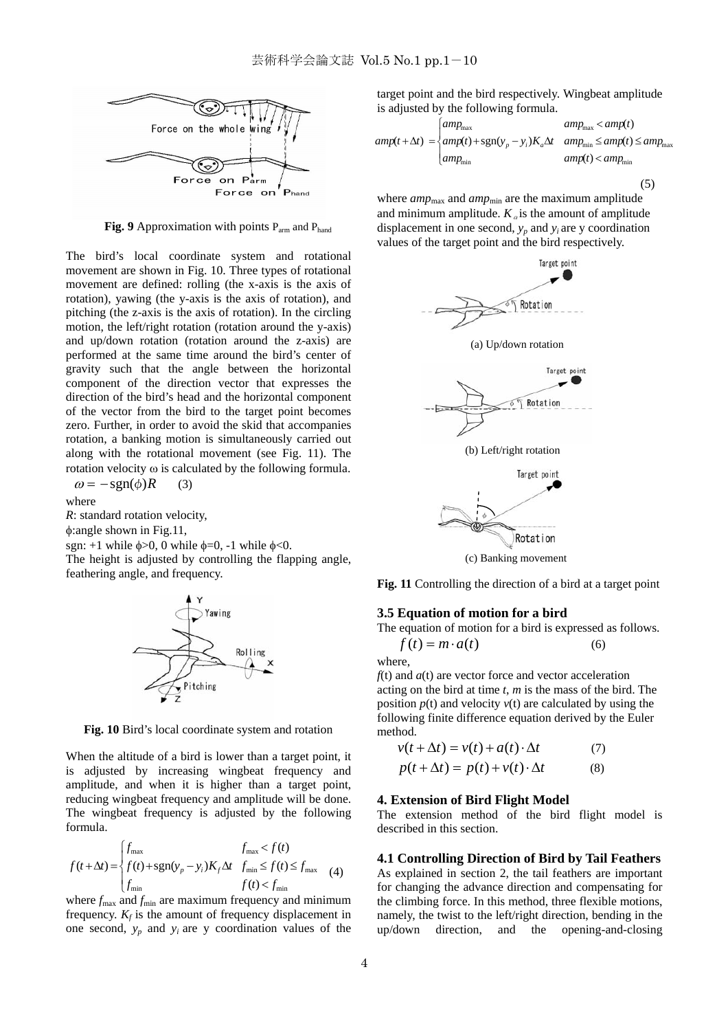

**Fig. 9** Approximation with points P<sub>arm</sub> and P<sub>hand</sub>

The bird's local coordinate system and rotational movement are shown in Fig. 10. Three types of rotational movement are defined: rolling (the x-axis is the axis of rotation), yawing (the y-axis is the axis of rotation), and pitching (the z-axis is the axis of rotation). In the circling motion, the left/right rotation (rotation around the y-axis) and up/down rotation (rotation around the z-axis) are performed at the same time around the bird's center of gravity such that the angle between the horizontal component of the direction vector that expresses the direction of the bird's head and the horizontal component of the vector from the bird to the target point becomes zero. Further, in order to avoid the skid that accompanies rotation, a banking motion is simultaneously carried out along with the rotational movement (see Fig. 11). The rotation velocity ω is calculated by the following formula.  $\omega = -\text{sgn}(\phi)R$  (3)

$$
\omega = \text{sgn}(\varphi)
$$

where

*R*: standard rotation velocity, φ:angle shown in Fig.11,

sgn:  $+1$  while  $\phi > 0$ , 0 while  $\phi = 0$ ,  $-1$  while  $\phi < 0$ .

The height is adjusted by controlling the flapping angle, feathering angle, and frequency.



**Fig. 10** Bird's local coordinate system and rotation

When the altitude of a bird is lower than a target point, it is adjusted by increasing wingbeat frequency and amplitude, and when it is higher than a target point, reducing wingbeat frequency and amplitude will be done. The wingbeat frequency is adjusted by the following formula.

$$
f(t+\Delta t) = \begin{cases} f_{\text{max}} & f_{\text{max}} < f(t) \\ f(t) + \text{sgn}(y_p - y_i)K_f\Delta t & f_{\text{min}} \le f(t) \le f_{\text{max}} \\ f_{\text{min}} & f(t) < f_{\text{min}} \end{cases}
$$
(4)

where  $f_{\text{max}}$  and  $f_{\text{min}}$  are maximum frequency and minimum frequency.  $K_f$  is the amount of frequency displacement in one second,  $y_p$  and  $y_i$  are y coordination values of the

target point and the bird respectively. Wingbeat amplitude is adjusted by the following formula.

$$
amp(t + \Delta t) = \begin{cases} amp_{\text{max}} & amp_{\text{max}} & \text{amp}(t) \\ amp(t) + \text{sgn}(y_p - y_i)K_a \Delta t & amp_{\text{min}} \le amp(t) \le amp_{\text{max}} \\ amp_{\text{min}} & \text{amp}(t) < amp_{\text{min}} \end{cases}
$$

where *amp*<sub>max</sub> and *amp*<sub>min</sub> are the maximum amplitude and minimum amplitude.  $K_a$  is the amount of amplitude displacement in one second,  $y_p$  and  $y_i$  are y coordination values of the target point and the bird respectively.

 $(5)$ 



(c) Banking movement

**Fig. 11** Controlling the direction of a bird at a target point

# **3.5 Equation of motion for a bird**

The equation of motion for a bird is expressed as follows.

 $f(t) = m \cdot a(t)$  (6)

where,

*f*(t) and *a*(t) are vector force and vector acceleration acting on the bird at time *t*, *m* is the mass of the bird. The position  $p(t)$  and velocity  $v(t)$  are calculated by using the following finite difference equation derived by the Euler method.

$$
v(t + \Delta t) = v(t) + a(t) \cdot \Delta t \tag{7}
$$
  

$$
p(t + \Delta t) = p(t) + v(t) \cdot \Delta t \tag{8}
$$

#### **4. Extension of Bird Flight Model**

The extension method of the bird flight model is described in this section.

#### **4.1 Controlling Direction of Bird by Tail Feathers**

As explained in section 2, the tail feathers are important for changing the advance direction and compensating for the climbing force. In this method, three flexible motions, namely, the twist to the left/right direction, bending in the up/down direction, and the opening-and-closing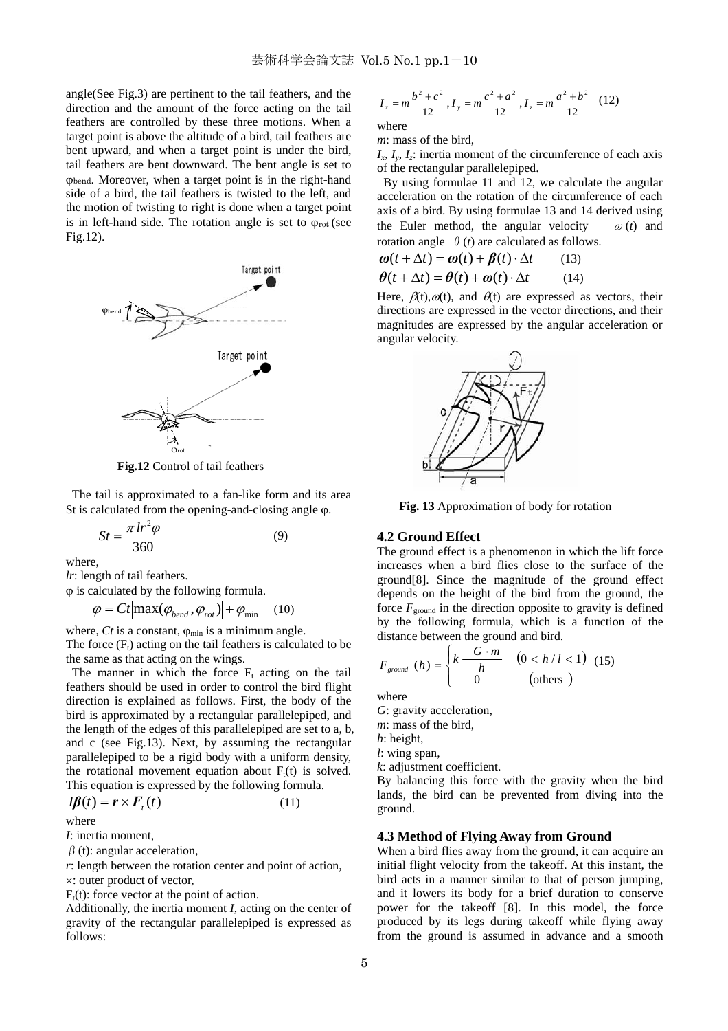angle(See Fig.3) are pertinent to the tail feathers, and the direction and the amount of the force acting on the tail feathers are controlled by these three motions. When a target point is above the altitude of a bird, tail feathers are bent upward, and when a target point is under the bird, tail feathers are bent downward. The bent angle is set to ϕbend. Moreover, when a target point is in the right-hand side of a bird, the tail feathers is twisted to the left, and the motion of twisting to right is done when a target point is in left-hand side. The rotation angle is set to  $\varphi_{\text{rot}}$  (see Fig.12).



**Fig.12** Control of tail feathers

 The tail is approximated to a fan-like form and its area St is calculated from the opening-and-closing angle ϕ.

$$
St = \frac{\pi \, lr^2 \varphi}{360} \tag{9}
$$

where,

*lr*: length of tail feathers.

ϕ is calculated by the following formula.

 $\varphi = Ct | \max(\varphi_{\text{bend}}, \varphi_{\text{rot}}) | + \varphi_{\text{min}}$  (10)

where,  $Ct$  is a constant,  $\varphi_{\min}$  is a minimum angle. The force  $(F_t)$  acting on the tail feathers is calculated to be the same as that acting on the wings.

The manner in which the force  $F_t$  acting on the tail feathers should be used in order to control the bird flight direction is explained as follows. First, the body of the bird is approximated by a rectangular parallelepiped, and the length of the edges of this parallelepiped are set to a, b, and c (see Fig.13). Next, by assuming the rectangular parallelepiped to be a rigid body with a uniform density, the rotational movement equation about  $F_t(t)$  is solved. This equation is expressed by the following formula.

$$
I\!\boldsymbol{\beta}(t) = \boldsymbol{r} \times \boldsymbol{F}_t(t) \tag{11}
$$

where

*I*: inertia moment,

 $\beta$  (t): angular acceleration,

*r*: length between the rotation center and point of action,

×: outer product of vector,

 $F_t(t)$ : force vector at the point of action.

Additionally, the inertia moment *I*, acting on the center of gravity of the rectangular parallelepiped is expressed as follows:

$$
I_x = m \frac{b^2 + c^2}{12}, I_y = m \frac{c^2 + a^2}{12}, I_z = m \frac{a^2 + b^2}{12}
$$
 (12)

where

*m*: mass of the bird,

 $I_x$ ,  $I_y$ ,  $I_z$ : inertia moment of the circumference of each axis of the rectangular parallelepiped.

 By using formulae 11 and 12, we calculate the angular acceleration on the rotation of the circumference of each axis of a bird. By using formulae 13 and 14 derived using the Euler method, the angular velocity  $\omega(t)$  and rotation angle  $\theta$  (*t*) are calculated as follows.

$$
\boldsymbol{\omega}(t + \Delta t) = \boldsymbol{\omega}(t) + \boldsymbol{\beta}(t) \cdot \Delta t \qquad (13)
$$

$$
\boldsymbol{\theta}(t + \Delta t) = \boldsymbol{\theta}(t) + \boldsymbol{\omega}(t) \cdot \Delta t \tag{14}
$$

Here,  $\beta(t)$ ,  $\omega(t)$ , and  $\theta(t)$  are expressed as vectors, their directions are expressed in the vector directions, and their magnitudes are expressed by the angular acceleration or angular velocity.



**Fig. 13** Approximation of body for rotation

#### **4.2 Ground Effect**

The ground effect is a phenomenon in which the lift force increases when a bird flies close to the surface of the ground[8]. Since the magnitude of the ground effect depends on the height of the bird from the ground, the force  $F_{ground}$  in the direction opposite to gravity is defined by the following formula, which is a function of the distance between the ground and bird.

$$
F_{ground} (h) = \begin{cases} k \frac{-G \cdot m}{h} & (0 < h/l < 1) \\ 0 & \text{(others)} \end{cases}
$$
 (15)

where

*G*: gravity acceleration,

*m*: mass of the bird,

*h*: height,

*l*: wing span,

*k*: adjustment coefficient.

By balancing this force with the gravity when the bird lands, the bird can be prevented from diving into the ground.

# **4.3 Method of Flying Away from Ground**

When a bird flies away from the ground, it can acquire an initial flight velocity from the takeoff. At this instant, the bird acts in a manner similar to that of person jumping, and it lowers its body for a brief duration to conserve power for the takeoff [8]. In this model, the force produced by its legs during takeoff while flying away from the ground is assumed in advance and a smooth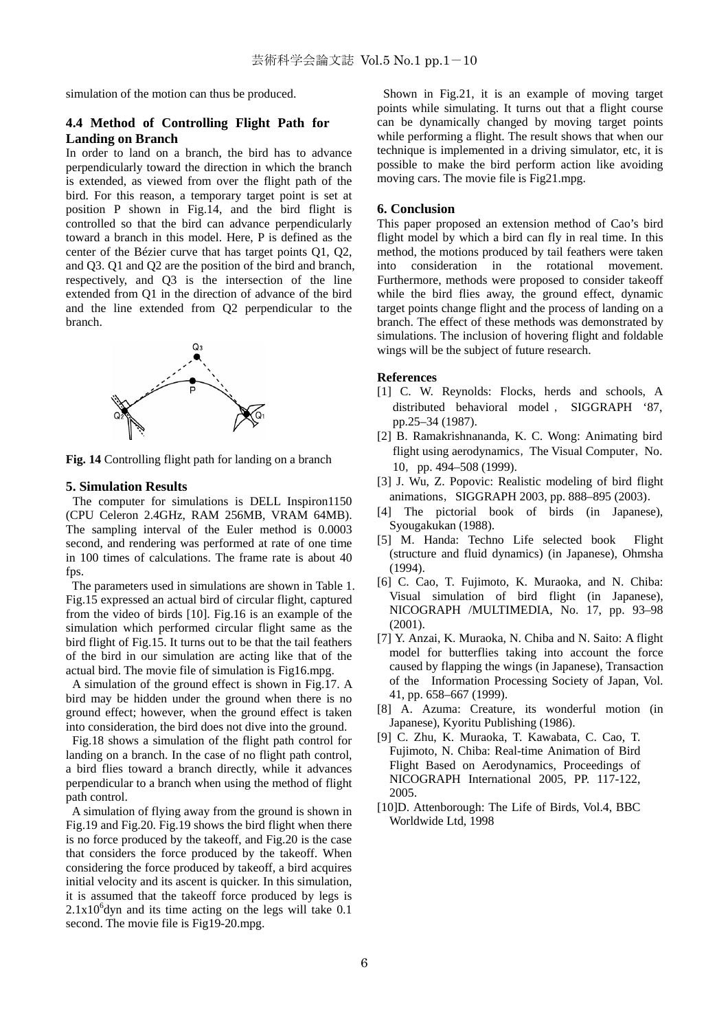simulation of the motion can thus be produced.

# **4.4 Method of Controlling Flight Path for Landing on Branch**

In order to land on a branch, the bird has to advance perpendicularly toward the direction in which the branch is extended, as viewed from over the flight path of the bird. For this reason, a temporary target point is set at position P shown in Fig.14, and the bird flight is controlled so that the bird can advance perpendicularly toward a branch in this model. Here, P is defined as the center of the Bézier curve that has target points Q1, Q2, and Q3. Q1 and Q2 are the position of the bird and branch, respectively, and Q3 is the intersection of the line extended from Q1 in the direction of advance of the bird and the line extended from Q2 perpendicular to the branch.



**Fig. 14** Controlling flight path for landing on a branch

#### **5. Simulation Results**

The computer for simulations is DELL Inspiron1150 (CPU Celeron 2.4GHz, RAM 256MB, VRAM 64MB). The sampling interval of the Euler method is 0.0003 second, and rendering was performed at rate of one time in 100 times of calculations. The frame rate is about 40 fps.

 The parameters used in simulations are shown in Table 1. Fig.15 expressed an actual bird of circular flight, captured from the video of birds [10]. Fig.16 is an example of the simulation which performed circular flight same as the bird flight of Fig.15. It turns out to be that the tail feathers of the bird in our simulation are acting like that of the actual bird. The movie file of simulation is Fig16.mpg.

A simulation of the ground effect is shown in Fig.17. A bird may be hidden under the ground when there is no ground effect; however, when the ground effect is taken into consideration, the bird does not dive into the ground.

Fig.18 shows a simulation of the flight path control for landing on a branch. In the case of no flight path control, a bird flies toward a branch directly, while it advances perpendicular to a branch when using the method of flight path control.

 A simulation of flying away from the ground is shown in Fig.19 and Fig.20. Fig.19 shows the bird flight when there is no force produced by the takeoff, and Fig.20 is the case that considers the force produced by the takeoff. When considering the force produced by takeoff, a bird acquires initial velocity and its ascent is quicker. In this simulation, it is assumed that the takeoff force produced by legs is  $2.1x10<sup>6</sup>$ dyn and its time acting on the legs will take 0.1 second. The movie file is Fig19-20.mpg.

Shown in Fig.21, it is an example of moving target points while simulating. It turns out that a flight course can be dynamically changed by moving target points while performing a flight. The result shows that when our technique is implemented in a driving simulator, etc, it is possible to make the bird perform action like avoiding moving cars. The movie file is Fig21.mpg.

#### **6. Conclusion**

This paper proposed an extension method of Cao's bird flight model by which a bird can fly in real time. In this method, the motions produced by tail feathers were taken into consideration in the rotational movement. Furthermore, methods were proposed to consider takeoff while the bird flies away, the ground effect, dynamic target points change flight and the process of landing on a branch. The effect of these methods was demonstrated by simulations. The inclusion of hovering flight and foldable wings will be the subject of future research.

#### **References**

- [1] C. W. Reynolds: Flocks, herds and schools, A distributed behavioral model , SIGGRAPH '87, pp.25–34 (1987).
- [2] B. Ramakrishnananda, K. C. Wong: Animating bird flight using aerodynamics, The Visual Computer, No. 10,pp. 494–508 (1999).
- [3] J. Wu, Z. Popovic: Realistic modeling of bird flight animations, SIGGRAPH 2003, pp. 888-895 (2003).
- [4] The pictorial book of birds (in Japanese), Syougakukan (1988).
- [5] M. Handa: Techno Life selected book Flight (structure and fluid dynamics) (in Japanese), Ohmsha  $(1994)$ .
- [6] C. Cao, T. Fujimoto, K. Muraoka, and N. Chiba: Visual simulation of bird flight (in Japanese), NICOGRAPH /MULTIMEDIA, No. 17, pp. 93–98 (2001).
- [7] Y. Anzai, K. Muraoka, N. Chiba and N. Saito: A flight model for butterflies taking into account the force caused by flapping the wings (in Japanese), Transaction of the Information Processing Society of Japan, Vol. 41, pp. 658–667 (1999).
- [8] A. Azuma: Creature, its wonderful motion (in Japanese), Kyoritu Publishing (1986).
- [9] C. Zhu, K. Muraoka, T. Kawabata, C. Cao, T. Fujimoto, N. Chiba: Real-time Animation of Bird Flight Based on Aerodynamics, Proceedings of NICOGRAPH International 2005, PP. 117-122, 2005.
- [10]D. Attenborough: The Life of Birds, Vol.4, BBC Worldwide Ltd, 1998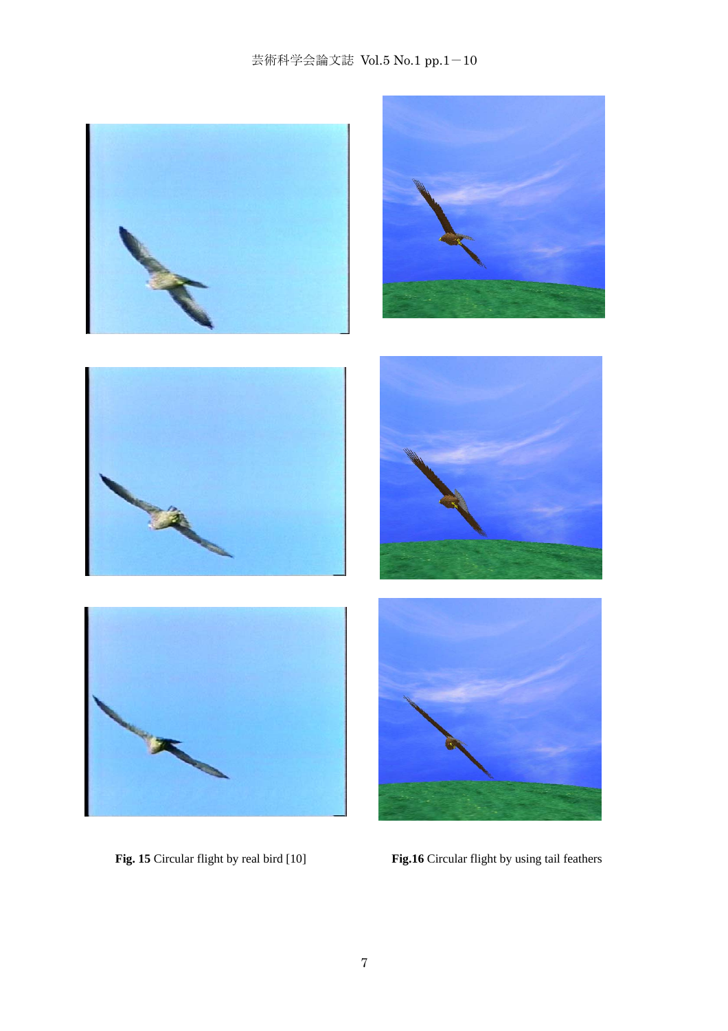# 芸術科学会論文誌 Vol.5 No.1 pp.1-10



Fig. 15 Circular flight by real bird [10] **Fig.16** Circular flight by using tail feathers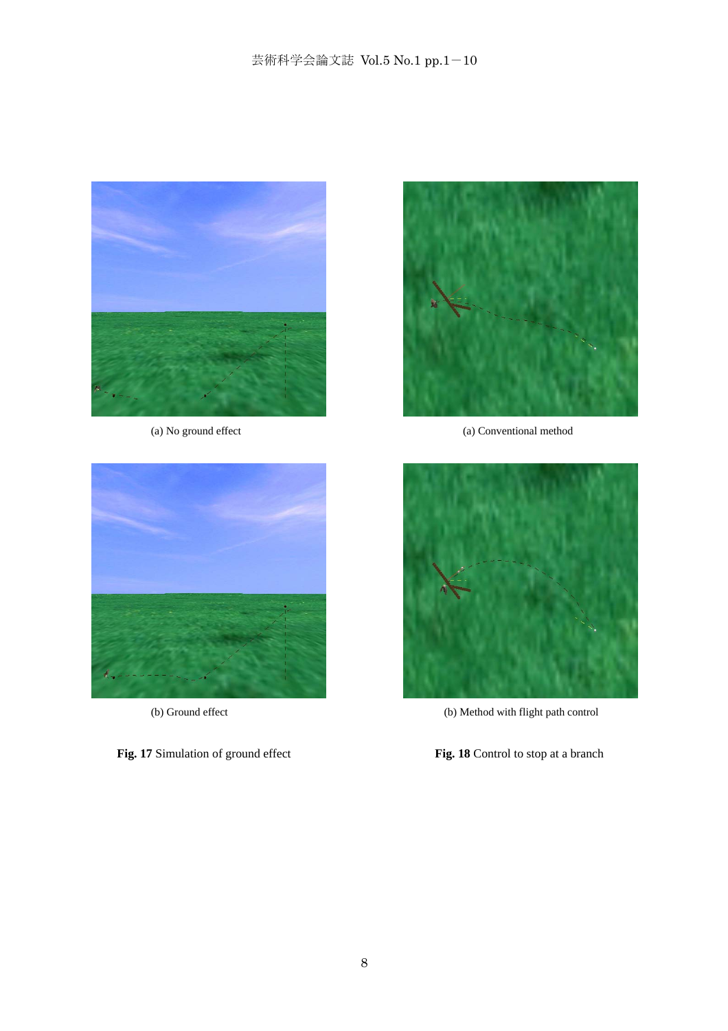

(a) No ground effect



(b) Ground effect

**Fig. 17** Simulation of ground effect



(a) Conventional method



(b) Method with flight path control

**Fig. 18** Control to stop at a branch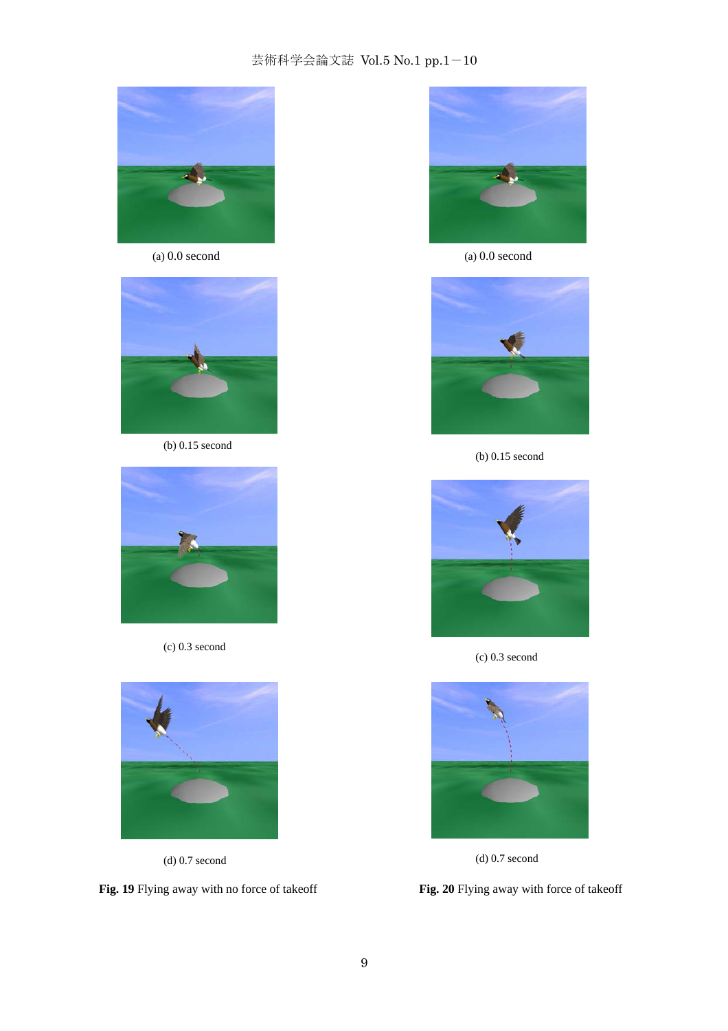# 芸術科学会論文誌 Vol.5 No.1 pp.1-10



(a) 0.0 second



(b) 0.15 second



(c) 0.3 second



(d) 0.7 second

**Fig. 19** Flying away with no force of takeoff



(a) 0.0 second



(b) 0.15 second



(c) 0.3 second



(d) 0.7 second

**Fig. 20** Flying away with force of takeoff